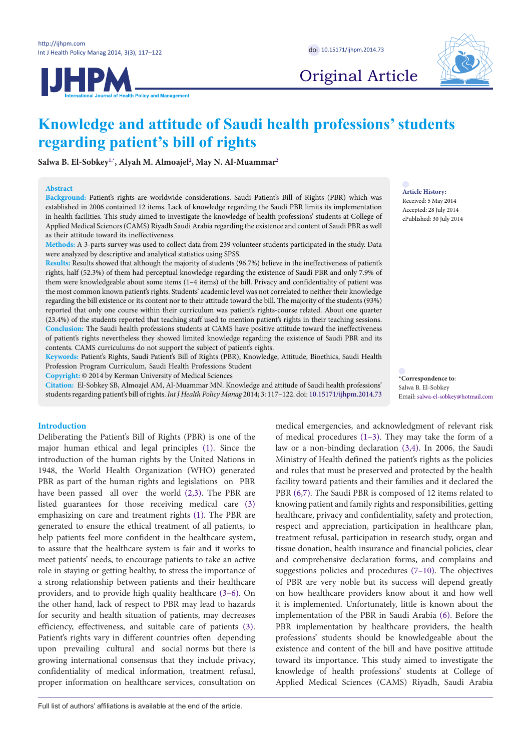**IJHPM** 



Original Article

# **Knowledge and attitude of Saudi health professions' students regarding patient's bill of rights**

**Salwa B. El-Sobkey[1](#page-4-0)[,\\*](#page-0-0) , Alyah M. Almoajel[2](#page-4-1) , May N. Al-Muamma[r2](#page-4-1)**

## **Abstract**

**Background:** Patient's rights are worldwide considerations. Saudi Patient's Bill of Rights (PBR) which was established in 2006 contained 12 items. Lack of knowledge regarding the Saudi PBR limits its implementation in health facilities. This study aimed to investigate the knowledge of health professions' students at College of Applied Medical Sciences (CAMS) Riyadh Saudi Arabia regarding the existence and content of Saudi PBR as well as their attitude toward its ineffectiveness.

**Methods:** A 3-parts survey was used to collect data from 239 volunteer students participated in the study. Data were analyzed by descriptive and analytical statistics using SPSS.

**Results:** Results showed that although the majority of students (96.7%) believe in the ineffectiveness of patient's rights, half (52.3%) of them had perceptual knowledge regarding the existence of Saudi PBR and only 7.9% of them were knowledgeable about some items (1–4 items) of the bill. Privacy and confidentiality of patient was the most common known patient's rights. Students' academic level was not correlated to neither their knowledge regarding the bill existence or its content nor to their attitude toward the bill. The majority of the students (93%) reported that only one course within their curriculum was patient's rights-course related. About one quarter (23.4%) of the students reported that teaching staff used to mention patient's rights in their teaching sessions. **Conclusion:** The Saudi health professions students at CAMS have positive attitude toward the ineffectiveness of patient's rights nevertheless they showed limited knowledge regarding the existence of Saudi PBR and its contents. CAMS curriculums do not support the subject of patient's rights.

**Keywords:** Patient's Rights, Saudi Patient's Bill of Rights (PBR), Knowledge, Attitude, Bioethics, Saudi Health Profession Program Curriculum, Saudi Health Professions Student

**Copyright:** © 2014 by Kerman University of Medical Sciences

**Citation:** El-Sobkey SB, Almoajel AM, Al-Muammar MN. Knowledge and attitude of Saudi health professions' students regarding patient's bill of rights. *Int J Health Policy Manag* 2014; 3: 117–122. doi: [10.15171/ijhpm.2014.73](http://dx.doi.org/10.15171/ijhpm.2014.73)

## **Introduction**

Deliberating the Patient's Bill of Rights (PBR) is one of the major human ethical and legal principles ([1\)](#page-4-2). Since the introduction of the human rights by the United Nations in 1948, the World Health Organization (WHO) generated PBR as part of the human rights and legislations on PBR have been passed all over the world ([2](#page-4-3),[3\)](#page-4-4). The PBR are listed guarantees for those receiving medical care [\(3\)](#page-4-4) emphasizing on care and treatment rights [\(1](#page-4-2)). The PBR are generated to ensure the ethical treatment of all patients, to help patients feel more confident in the healthcare system, to assure that the healthcare system is fair and it works to meet patients' needs, to encourage patients to take an active role in staying or getting healthy, to stress the importance of a strong relationship between patients and their healthcare providers, and to provide high quality healthcare ([3](#page-4-4)–[6](#page-4-5)). On the other hand, lack of respect to PBR may lead to hazards for security and health situation of patients, may decreases efficiency, effectiveness, and suitable care of patients ([3\)](#page-4-4). Patient's rights vary in different countries often depending upon prevailing cultural and social norms but there is growing international consensus that they include privacy, confidentiality of medical information, treatment refusal, proper information on healthcare services, consultation on **Article History:**

Received: 5 May 2014 Accepted: 28 July 2014 ePublished: 30 July 2014

<span id="page-0-0"></span>**\*Correspondence to**: Salwa B. El-Sobkey Email: salwa-el-sobkey@hotmail.com

medical emergencies, and acknowledgment of relevant risk of medical procedures  $(1-3)$  $(1-3)$  $(1-3)$  $(1-3)$  $(1-3)$ . They may take the form of a law or a non-binding declaration [\(3](#page-4-4)[,4](#page-4-6)). In 2006, the Saudi Ministry of Health defined the patient's rights as the policies and rules that must be preserved and protected by the health facility toward patients and their families and it declared the PBR ([6](#page-4-5),[7](#page-4-7)). The Saudi PBR is composed of 12 items related to knowing patient and family rights and responsibilities, getting healthcare, privacy and confidentiality, safety and protection, respect and appreciation, participation in healthcare plan, treatment refusal, participation in research study, organ and tissue donation, health insurance and financial policies, clear and comprehensive declaration forms, and complains and suggestions policies and procedures [\(7](#page-4-7)[–10\)](#page-4-8). The objectives of PBR are very noble but its success will depend greatly on how healthcare providers know about it and how well it is implemented. Unfortunately, little is known about the implementation of the PBR in Saudi Arabia [\(6](#page-4-5)). Before the PBR implementation by healthcare providers, the health professions' students should be knowledgeable about the existence and content of the bill and have positive attitude toward its importance. This study aimed to investigate the knowledge of health professions' students at College of Applied Medical Sciences (CAMS) Riyadh, Saudi Arabia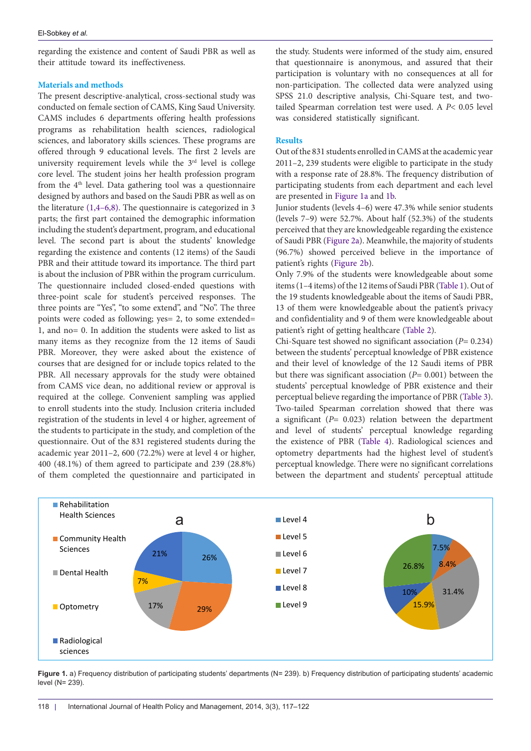regarding the existence and content of Saudi PBR as well as their attitude toward its ineffectiveness.

# **Materials and methods**

The present descriptive-analytical, cross-sectional study was conducted on female section of CAMS, King Saud University. CAMS includes 6 departments offering health professions programs as rehabilitation health sciences, radiological sciences, and laboratory skills sciences. These programs are offered through 9 educational levels. The first 2 levels are university requirement levels while the 3<sup>rd</sup> level is college core level. The student joins her health profession program from the 4<sup>th</sup> level. Data gathering tool was a questionnaire designed by authors and based on the Saudi PBR as well as on the literature [\(1](#page-4-2)[,4](#page-4-6)[–6](#page-4-5)[,8](#page-4-9)). The questionnaire is categorized in 3 parts; the first part contained the demographic information including the student's department, program, and educational level. The second part is about the students' knowledge regarding the existence and contents (12 items) of the Saudi PBR and their attitude toward its importance. The third part is about the inclusion of PBR within the program curriculum. The questionnaire included closed-ended questions with three-point scale for student's perceived responses. The three points are "Yes", "to some extend", and "No". The three points were coded as following; yes= 2, to some extended= 1, and no= 0. In addition the students were asked to list as many items as they recognize from the 12 items of Saudi PBR. Moreover, they were asked about the existence of courses that are designed for or include topics related to the PBR. All necessary approvals for the study were obtained from CAMS vice dean, no additional review or approval is required at the college. Convenient sampling was applied to enroll students into the study. Inclusion criteria included registration of the students in level 4 or higher, agreement of the students to participate in the study, and completion of the questionnaire. Out of the 831 registered students during the academic year 2011–2, 600 (72.2%) were at level 4 or higher, 400 (48.1%) of them agreed to participate and 239 (28.8%) of them completed the questionnaire and participated in

the study. Students were informed of the study aim, ensured that questionnaire is anonymous, and assured that their participation is voluntary with no consequences at all for non-participation. The collected data were analyzed using SPSS 21.0 descriptive analysis, Chi-Square test, and twotailed Spearman correlation test were used. A *P*< 0.05 level was considered statistically significant.

# **Results**

Out of the 831 students enrolled in CAMS at the academic year 2011–2, 239 students were eligible to participate in the study with a response rate of 28.8%. The frequency distribution of participating students from each department and each level are presented in [Figure 1a](#page-1-0) and [1b](#page-1-1).

Junior students (levels 4–6) were 47.3% while senior students (levels 7–9) were 52.7%. About half (52.3%) of the students perceived that they are knowledgeable regarding the existence of Saudi PBR [\(Figure 2a\)](#page-2-0). Meanwhile, the majority of students (96.7%) showed perceived believe in the importance of patient's rights ([Figure 2b](#page-2-1)).

Only 7.9% of the students were knowledgeable about some items (1–4 items) of the 12 items of Saudi PBR [\(Table 1](#page-2-2)). Out of the 19 students knowledgeable about the items of Saudi PBR, 13 of them were knowledgeable about the patient's privacy and confidentiality and 9 of them were knowledgeable about patient's right of getting healthcare ([Table 2\)](#page-2-3).

<span id="page-1-1"></span>Chi-Square test showed no significant association (*P*= 0.234) between the students' perceptual knowledge of PBR existence and their level of knowledge of the 12 Saudi items of PBR but there was significant association (*P*= 0.001) between the students' perceptual knowledge of PBR existence and their perceptual believe regarding the importance of PBR ([Table 3](#page-3-0)). Two-tailed Spearman correlation showed that there was a significant (*P*= 0.023) relation between the department and level of students' perceptual knowledge regarding the existence of PBR [\(Table 4\)](#page-3-1). Radiological sciences and optometry departments had the highest level of student's perceptual knowledge. There were no significant correlations between the department and students' perceptual attitude

<span id="page-1-0"></span>

Figure 1. a) Frequency distribution of participating students' departments (N= 239). b) Frequency distribution of participating students' academic level (N= 239).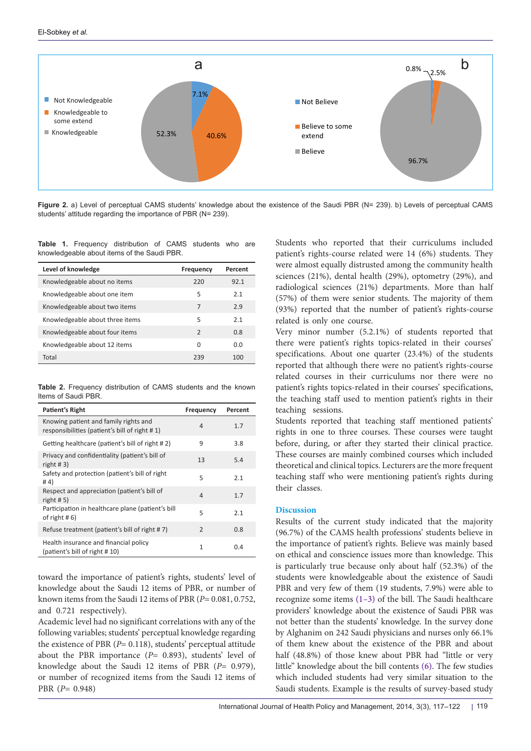<span id="page-2-0"></span>

Figure 2. a) Level of perceptual CAMS students' knowledge about the existence of the Saudi PBR (N= 239). b) Levels of perceptual CAMS students' attitude regarding the importance of PBR (N= 239).

<span id="page-2-2"></span>**Table 1.** Frequency distribution of CAMS students who are knowledgeable about items of the Saudi PBR.

| Level of knowledge              | Frequency     | Percent |
|---------------------------------|---------------|---------|
| Knowledgeable about no items    | 220           | 92.1    |
| Knowledgeable about one item    | 5             | 2.1     |
| Knowledgeable about two items   | 7             | 2.9     |
| Knowledgeable about three items | 5             | 2.1     |
| Knowledgeable about four items  | $\mathcal{P}$ | 0.8     |
| Knowledgeable about 12 items    | U             | 0.0     |
| Total                           | 239           | 100     |

<span id="page-2-3"></span>**Table 2.** Frequency distribution of CAMS students and the known Items of Saudi PBR.

| Patient's Right                                                                        | Frequency | Percent |
|----------------------------------------------------------------------------------------|-----------|---------|
| Knowing patient and family rights and<br>responsibilities (patient's bill of right #1) | 4         | 1.7     |
| Getting healthcare (patient's bill of right #2)                                        | 9         | 3.8     |
| Privacy and confidentiality (patient's bill of<br>right $#3)$                          | 13        | 5.4     |
| Safety and protection (patient's bill of right<br>#4)                                  | 5         | 2.1     |
| Respect and appreciation (patient's bill of<br>right # 5)                              | 4         | 1.7     |
| Participation in healthcare plane (patient's bill<br>of right $# 6$ )                  | 5         | 2.1     |
| Refuse treatment (patient's bill of right #7)                                          | 2         | 0.8     |
| Health insurance and financial policy<br>(patient's bill of right #10)                 | 1         | 0.4     |

toward the importance of patient's rights, students' level of knowledge about the Saudi 12 items of PBR, or number of known items from the Saudi 12 items of PBR (*P*= 0.081, 0.752, and 0.721 respectively).

Academic level had no significant correlations with any of the following variables; students' perceptual knowledge regarding the existence of PBR (*P*= 0.118), students' perceptual attitude about the PBR importance (*P*= 0.893), students' level of knowledge about the Saudi 12 items of PBR (*P*= 0.979), or number of recognized items from the Saudi 12 items of PBR (*P*= 0.948)

<span id="page-2-1"></span>Students who reported that their curriculums included patient's rights-course related were 14 (6%) students. They were almost equally distrusted among the community health sciences (21%), dental health (29%), optometry (29%), and radiological sciences (21%) departments. More than half (57%) of them were senior students. The majority of them (93%) reported that the number of patient's rights-course related is only one course.

Very minor number (5.2.1%) of students reported that there were patient's rights topics-related in their courses' specifications. About one quarter (23.4%) of the students reported that although there were no patient's rights-course related courses in their curriculums nor there were no patient's rights topics-related in their courses' specifications, the teaching staff used to mention patient's rights in their teaching sessions.

Students reported that teaching staff mentioned patients' rights in one to three courses. These courses were taught before, during, or after they started their clinical practice. These courses are mainly combined courses which included theoretical and clinical topics. Lecturers are the more frequent teaching staff who were mentioning patient's rights during their classes.

## **Discussion**

Results of the current study indicated that the majority (96.7%) of the CAMS health professions' students believe in the importance of patient's rights. Believe was mainly based on ethical and conscience issues more than knowledge. This is particularly true because only about half (52.3%) of the students were knowledgeable about the existence of Saudi PBR and very few of them (19 students, 7.9%) were able to recognize some items [\(1](#page-4-2)[–3](#page-4-4)) of the bill. The Saudi healthcare providers' knowledge about the existence of Saudi PBR was not better than the students' knowledge. In the survey done by Alghanim on 242 Saudi physicians and nurses only 66.1% of them knew about the existence of the PBR and about half (48.8%) of those knew about PBR had "little or very little" knowledge about the bill contents [\(6\)](#page-4-5). The few studies which included students had very similar situation to the Saudi students. Example is the results of survey-based study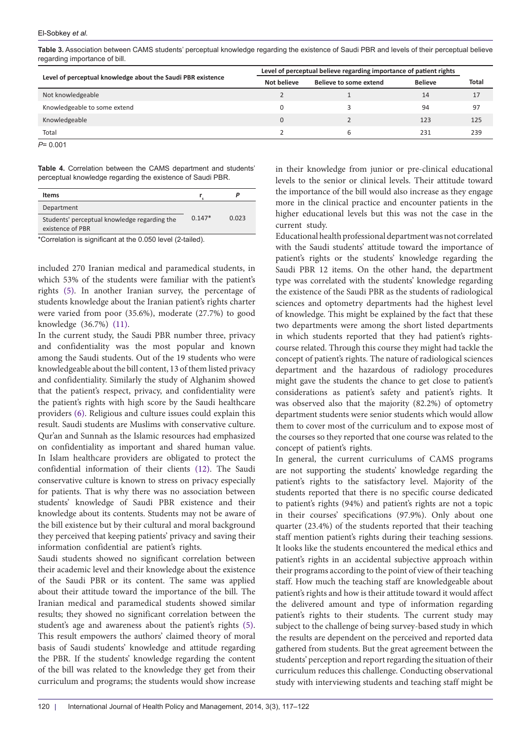<span id="page-3-0"></span>**Table 3.** Association between CAMS students' perceptual knowledge regarding the existence of Saudi PBR and levels of their perceptual believe regarding importance of bill.

|                                                             | Level of perceptual believe regarding importance of patient rights |                        |                |       |
|-------------------------------------------------------------|--------------------------------------------------------------------|------------------------|----------------|-------|
| Level of perceptual knowledge about the Saudi PBR existence | Not believe                                                        | Believe to some extend | <b>Believe</b> | Total |
| Not knowledgeable                                           |                                                                    |                        | 14             | 17    |
| Knowledgeable to some extend                                | $\Omega$                                                           |                        | 94             | 97    |
| Knowledgeable                                               | $\mathbf{0}$                                                       |                        | 123            | 125   |
| Total                                                       |                                                                    |                        | 231            | 239   |
| $P = 0.001$                                                 |                                                                    |                        |                |       |

<span id="page-3-1"></span>**Table 4.** Correlation between the CAMS department and students' perceptual knowledge regarding the existence of Saudi PBR.

| <b>Items</b>                                 |          |       |
|----------------------------------------------|----------|-------|
| Department                                   |          |       |
| Students' perceptual knowledge regarding the | $0.147*$ | 0.023 |
| existence of PBR                             |          |       |

\*Correlation is significant at the 0.050 level (2-tailed).

included 270 Iranian medical and paramedical students, in which 53% of the students were familiar with the patient's rights ([5\)](#page-4-10). In another Iranian survey, the percentage of students knowledge about the Iranian patient's rights charter were varied from poor (35.6%), moderate (27.7%) to good knowledge (36.7%) ([11\)](#page-4-11).

In the current study, the Saudi PBR number three, privacy and confidentiality was the most popular and known among the Saudi students. Out of the 19 students who were knowledgeable about the bill content, 13 of them listed privacy and confidentiality. Similarly the study of Alghanim showed that the patient's respect, privacy, and confidentiality were the patient's rights with high score by the Saudi healthcare providers ([6](#page-4-5)). Religious and culture issues could explain this result. Saudi students are Muslims with conservative culture. Qur'an and Sunnah as the Islamic resources had emphasized on confidentiality as important and shared human value. In Islam healthcare providers are obligated to protect the confidential information of their clients [\(12\)](#page-4-12). The Saudi conservative culture is known to stress on privacy especially for patients. That is why there was no association between students' knowledge of Saudi PBR existence and their knowledge about its contents. Students may not be aware of the bill existence but by their cultural and moral background they perceived that keeping patients' privacy and saving their information confidential are patient's rights.

Saudi students showed no significant correlation between their academic level and their knowledge about the existence of the Saudi PBR or its content. The same was applied about their attitude toward the importance of the bill. The Iranian medical and paramedical students showed similar results; they showed no significant correlation between the student's age and awareness about the patient's rights ([5\)](#page-4-10). This result empowers the authors' claimed theory of moral basis of Saudi students' knowledge and attitude regarding the PBR. If the students' knowledge regarding the content of the bill was related to the knowledge they get from their curriculum and programs; the students would show increase

in their knowledge from junior or pre-clinical educational levels to the senior or clinical levels. Their attitude toward the importance of the bill would also increase as they engage more in the clinical practice and encounter patients in the higher educational levels but this was not the case in the current study.

Educational health professional department was not correlated with the Saudi students' attitude toward the importance of patient's rights or the students' knowledge regarding the Saudi PBR 12 items. On the other hand, the department type was correlated with the students' knowledge regarding the existence of the Saudi PBR as the students of radiological sciences and optometry departments had the highest level of knowledge. This might be explained by the fact that these two departments were among the short listed departments in which students reported that they had patient's rightscourse related. Through this course they might had tackle the concept of patient's rights. The nature of radiological sciences department and the hazardous of radiology procedures might gave the students the chance to get close to patient's considerations as patient's safety and patient's rights. It was observed also that the majority (82.2%) of optometry department students were senior students which would allow them to cover most of the curriculum and to expose most of the courses so they reported that one course was related to the concept of patient's rights.

In general, the current curriculums of CAMS programs are not supporting the students' knowledge regarding the patient's rights to the satisfactory level. Majority of the students reported that there is no specific course dedicated to patient's rights (94%) and patient's rights are not a topic in their courses' specifications (97.9%). Only about one quarter (23.4%) of the students reported that their teaching staff mention patient's rights during their teaching sessions. It looks like the students encountered the medical ethics and patient's rights in an accidental subjective approach within their programs according to the point of view of their teaching staff. How much the teaching staff are knowledgeable about patient's rights and how is their attitude toward it would affect the delivered amount and type of information regarding patient's rights to their students. The current study may subject to the challenge of being survey-based study in which the results are dependent on the perceived and reported data gathered from students. But the great agreement between the students' perception and report regarding the situation of their curriculum reduces this challenge. Conducting observational study with interviewing students and teaching staff might be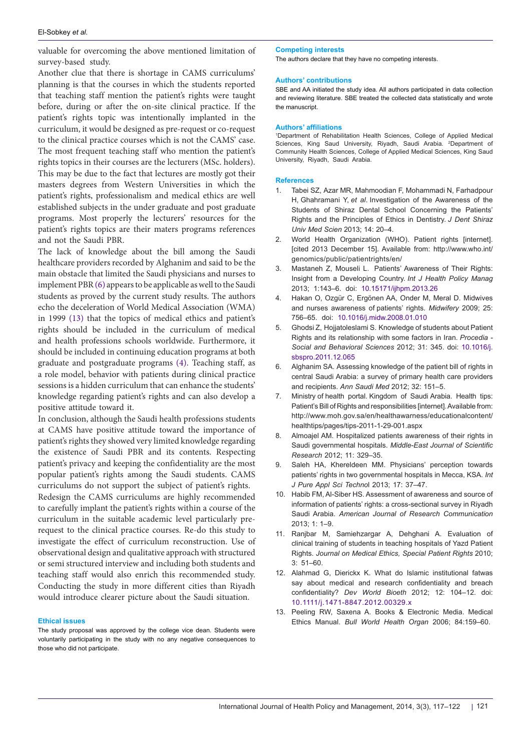valuable for overcoming the above mentioned limitation of survey-based study.

Another clue that there is shortage in CAMS curriculums' planning is that the courses in which the students reported that teaching staff mention the patient's rights were taught before, during or after the on-site clinical practice. If the patient's rights topic was intentionally implanted in the curriculum, it would be designed as pre-request or co-request to the clinical practice courses which is not the CAMS' case. The most frequent teaching staff who mention the patient's rights topics in their courses are the lecturers (MSc. holders). This may be due to the fact that lectures are mostly got their masters degrees from Western Universities in which the patient's rights, professionalism and medical ethics are well established subjects in the under graduate and post graduate programs. Most properly the lecturers' resources for the patient's rights topics are their maters programs references and not the Saudi PBR.

The lack of knowledge about the bill among the Saudi healthcare providers recorded by Alghanim and said to be the main obstacle that limited the Saudi physicians and nurses to implement PBR ([6\)](#page-4-5) appears to be applicable as well to the Saudi students as proved by the current study results. The authors echo the deceleration of World Medical Association (WMA) in 1999 ([13](#page-4-13)) that the topics of medical ethics and patient's rights should be included in the curriculum of medical and health professions schools worldwide. Furthermore, it should be included in continuing education programs at both graduate and postgraduate programs [\(4\)](#page-4-6). Teaching staff, as a role model, behavior with patients during clinical practice sessions is a hidden curriculum that can enhance the students' knowledge regarding patient's rights and can also develop a positive attitude toward it.

In conclusion, although the Saudi health professions students at CAMS have positive attitude toward the importance of patient's rights they showed very limited knowledge regarding the existence of Saudi PBR and its contents. Respecting patient's privacy and keeping the confidentiality are the most popular patient's rights among the Saudi students. CAMS curriculums do not support the subject of patient's rights.

Redesign the CAMS curriculums are highly recommended to carefully implant the patient's rights within a course of the curriculum in the suitable academic level particularly prerequest to the clinical practice courses. Re-do this study to investigate the effect of curriculum reconstruction. Use of observational design and qualitative approach with structured or semi structured interview and including both students and teaching staff would also enrich this recommended study. Conducting the study in more different cities than Riyadh would introduce clearer picture about the Saudi situation.

## **Ethical issues**

The study proposal was approved by the college vice dean. Students were voluntarily participating in the study with no any negative consequences to those who did not participate.

#### **Competing interests**

The authors declare that they have no competing interests.

#### **Authors' contributions**

SBE and AA initiated the study idea. All authors participated in data collection and reviewing literature. SBE treated the collected data statistically and wrote the manuscript.

#### **Authors' affiliations**

<span id="page-4-1"></span><span id="page-4-0"></span>1 Department of Rehabilitation Health Sciences, College of Applied Medical Sciences, King Saud University, Riyadh, Saudi Arabia. <sup>2</sup>Department of Community Health Sciences, College of Applied Medical Sciences, King Saud University, Riyadh, Saudi Arabia.

#### **References**

- <span id="page-4-2"></span>1. Tabei SZ, Azar MR, Mahmoodian F, Mohammadi N, Farhadpour H, Ghahramani Y, *et al*. Investigation of the Awareness of the Students of Shiraz Dental School Concerning the Patients' Rights and the Principles of Ethics in Dentistry. *J Dent Shiraz Univ Med Scien* 2013; 14: 20–4.
- <span id="page-4-3"></span>2. World Health Organization (WHO). Patient rights [internet]. [cited 2013 December 15]. Available from: [http://www.who.int/](http://www.who.int/genomics/public/patientrights/en/) [genomics/public/patientrights/en/](http://www.who.int/genomics/public/patientrights/en/)
- <span id="page-4-4"></span>3. Mastaneh Z, Mouseli L. Patients' Awareness of Their Rights: Insight from a Developing Country. *Int J Health Policy Manag* 2013; 1:143–6. doi: [10.15171/ijhpm.2013.26](http://dx.doi.org/10.15171/ijhpm.2013.26)
- <span id="page-4-6"></span>4. Hakan O, Ozgür C, Ergönen AA, Onder M, Meral D. Midwives and nurses awareness of patients' rights. *Midwifery* 2009; 25: 756–65. doi: [10.1016/j.midw.2008.01.010](http://dx.doi.org/10.1016/j.midw.2008.01.010)
- <span id="page-4-10"></span>5. Ghodsi Z, Hojjatoleslami S. Knowledge of students about Patient Rights and its relationship with some factors in Iran. *Procedia - Social and Behavioral Sciences* 2012; 31: 345. doi: [10.1016/j.](http://dx.doi.org/10.1016/j.sbspro.2011.12.065) [sbspro.2011.12.065](http://dx.doi.org/10.1016/j.sbspro.2011.12.065)
- <span id="page-4-5"></span>6. Alghanim SA. Assessing knowledge of the patient bill of rights in central Saudi Arabia: a survey of primary health care providers and recipients. *Ann Saudi Med* 2012; 32: 151–5.
- <span id="page-4-7"></span>7. Ministry of health portal. Kingdom of Saudi Arabia. Health tips: Patient's Bill of Rights and responsibilities [internet]. Available from: http://www.moh.gov.sa[/en/healthawarness/educationalcontent/](http://www.moh.gov.sa/en/healthawarness/educationalcontent/healthtips/pages/tips-2011-1-29-001.aspx) [healthtips/pages/tips-2011-1-29-001.aspx](http://www.moh.gov.sa/en/healthawarness/educationalcontent/healthtips/pages/tips-2011-1-29-001.aspx)
- <span id="page-4-9"></span>Almoajel AM. Hospitalized patients awareness of their rights in Saudi governmental hospitals. *Middle-East Journal of Scientific Research* 2012; 11: 329–35.
- 9. Saleh HA, Khereldeen MM. Physicians' perception towards patients' rights in two governmental hospitals in Mecca, KSA. *Int J Pure Appl Sci Techno*l 2013; 17: 37–47.
- <span id="page-4-8"></span>10. Habib FM, Al-Siber HS. Assessment of awareness and source of information of patients' rights: a cross-sectional survey in Riyadh Saudi Arabia. *American Journal of Research Communication* 2013; 1: 1–9.
- <span id="page-4-11"></span>11. Ranjbar M, Samiehzargar A, Dehghani A. Evaluation of clinical training of students in teaching hospitals of Yazd Patient Rights. *Journal on Medical Ethics, Special Patient Rights* 2010;  $3: 51–60$
- <span id="page-4-12"></span>12. Alahmad G, Dierickx K. What do Islamic institutional fatwas say about medical and research confidentiality and breach confidentiality? *Dev World Bioeth* 2012; 12: 104–12. doi: [10.1111/j.1471-8847.2012.00329.x](http://dx.doi.org/10.1111/j.1471-8847.2012.00329.x)
- <span id="page-4-13"></span>13. Peeling RW, Saxena A. Books & Electronic Media. Medical Ethics Manual. *Bull World Health Organ* 2006; 84:159–60.